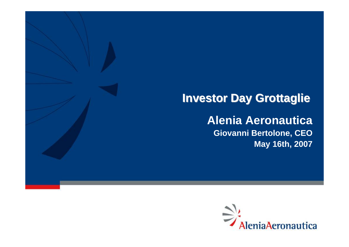# **Investor Day Grottaglie**

# **Alenia Aeronautica Giovanni Bertolone, CEO May 16th, 2007**

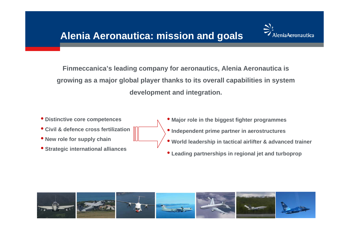

**Finmeccanica's leading company for aeronautics, Alenia Aeronautica is growing as a major global player thanks to its overall capabilities in system development and integration.**

• **Distinctive core competences** • **Civil & defence cross fertilization**• **New role for supply chain**  • **Strategic international alliances** • **Major role in the biggest fighter programmes** • **Independent prime partner in aerostructures** • **World leadership in tactical airlifter & advanced trainer** • **Leading partnerships in regional jet and turboprop** 

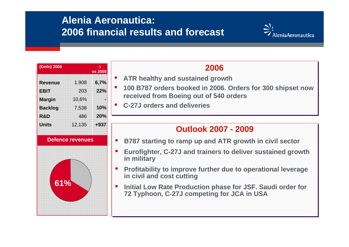# **Alenia Aeronautica:2006 financial results and forecast**



| $(\overline{\mathsf{f}}$ mln) 2006 | Λ<br>vs 2005 |        |
|------------------------------------|--------------|--------|
| <b>Revenue</b>                     | 1.908        | 6,7%   |
| <b>EBIT</b>                        | 203          | 22%    |
| <b>Margin</b>                      | 10,6%        |        |
| <b>Backlog</b>                     | 7,538        | 10%    |
| R&D                                | 486          | 20%    |
| <b>Units</b>                       | 12,135       | $+937$ |

**Defence revenues**

**61%**



- • **ATR healthy and sustained growth ATR healthy and sustained growth** •
- • **100 B787 orders booked in 2006. Orders for 300 shipset now 100 B787 orders booked in 2006. Orders for 300 shipset now received from Boeing out of 540 orders received from Boeing out of 540 orders** •
- • **C-27J orders and deliveries C-27J orders and deliveries**•

#### **Outlook 2007 - 2009Outlook 2007 - 2009**

- $\bullet$ **B787 starting to ramp up and ATR growth in civil sector B787 starting to ramp up and ATR growth in civil sector**
- $\bullet$  **Eurofighter, C-27J and trainers to deliver sustained growth Eurofighter, C-27J and trainers to deliver sustained growth in military in military**
- $\bullet$  **Profitability to improve further due to operational leverage Profitability to improve further due to operational leverage in civil and cost cutting in civil and cost cutting**
- $\bullet$  **Initial Low Rate Production phase for JSF. Saudi order for Initial Low Rate Production phase for JSF. Saudi order for 72 Typhoon, C-27J competing for JCA in USA 72 Typhoon, C-27J competing for JCA in USA**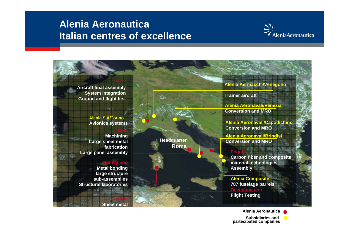### **Alenia AeronauticaItalian centres of excellence**





**Alenia Aeronautica**

**Subsidiaries and partecipated companies**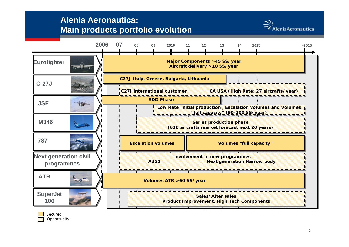#### **Alenia Aeronautica: Main products portfolio evolution**







5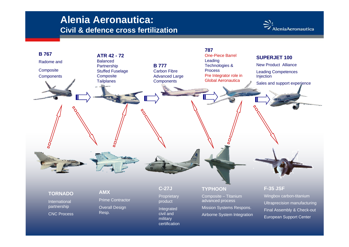### **Alenia Aeronautica: Civil & defence cross fertilization**